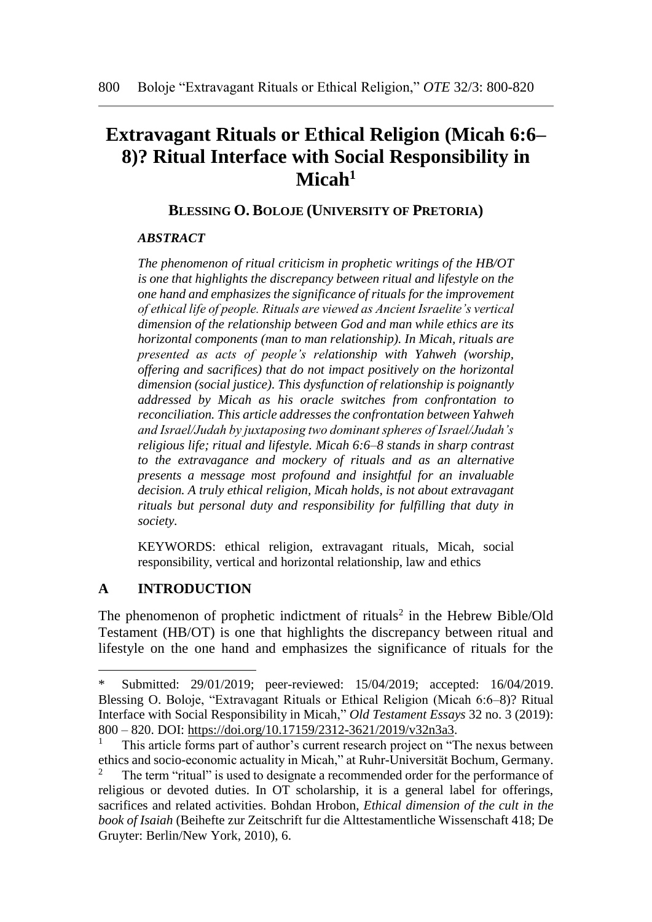# **Extravagant Rituals or Ethical Religion (Micah 6:6– 8)? Ritual Interface with Social Responsibility in Micah<sup>1</sup>**

## **BLESSING O. BOLOJE (UNIVERSITY OF PRETORIA)**

### *ABSTRACT*

*The phenomenon of ritual criticism in prophetic writings of the HB/OT is one that highlights the discrepancy between ritual and lifestyle on the one hand and emphasizes the significance of rituals for the improvement of ethical life of people. Rituals are viewed as Ancient Israelite's vertical dimension of the relationship between God and man while ethics are its horizontal components (man to man relationship). In Micah, rituals are presented as acts of people's relationship with Yahweh (worship, offering and sacrifices) that do not impact positively on the horizontal dimension (social justice). This dysfunction of relationship is poignantly addressed by Micah as his oracle switches from confrontation to reconciliation. This article addresses the confrontation between Yahweh and Israel/Judah by juxtaposing two dominant spheres of Israel/Judah's religious life; ritual and lifestyle. Micah 6:6–8 stands in sharp contrast to the extravagance and mockery of rituals and as an alternative presents a message most profound and insightful for an invaluable decision. A truly ethical religion, Micah holds, is not about extravagant rituals but personal duty and responsibility for fulfilling that duty in society.* 

KEYWORDS: ethical religion, extravagant rituals, Micah, social responsibility, vertical and horizontal relationship, law and ethics

# **A INTRODUCTION**

 $\overline{a}$ 

The phenomenon of prophetic indictment of rituals<sup>2</sup> in the Hebrew Bible/Old Testament (HB/OT) is one that highlights the discrepancy between ritual and lifestyle on the one hand and emphasizes the significance of rituals for the

Submitted: 29/01/2019; peer-reviewed: 15/04/2019; accepted: 16/04/2019. Blessing O. Boloje, "Extravagant Rituals or Ethical Religion (Micah 6:6–8)? Ritual Interface with Social Responsibility in Micah," *Old Testament Essays* 32 no. 3 (2019): 800 – 820. DOI: [https://doi.org/10.17159/2312-3621/2019/v32n3a3.](https://doi.org/10.17159/2312-3621/2019/v32n3a3)

This article forms part of author's current research project on "The nexus between ethics and socio-economic actuality in Micah," at Ruhr-Universität Bochum, Germany.

The term "ritual" is used to designate a recommended order for the performance of religious or devoted duties. In OT scholarship, it is a general label for offerings, sacrifices and related activities. Bohdan Hrobon, *Ethical dimension of the cult in the book of Isaiah* (Beihefte zur Zeitschrift fur die Alttestamentliche Wissenschaft 418; De Gruyter: Berlin/New York, 2010), 6.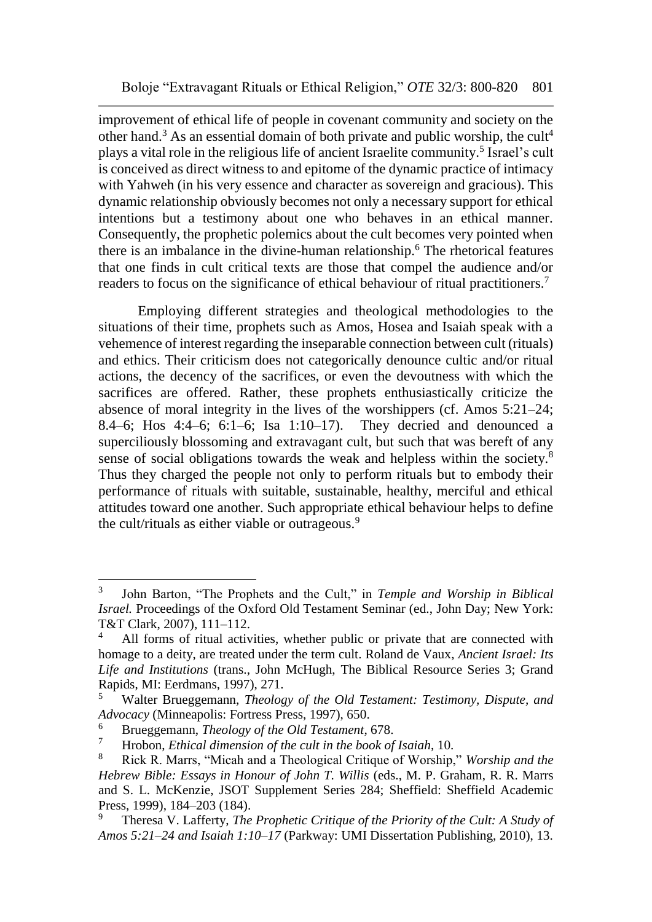improvement of ethical life of people in covenant community and society on the other hand.<sup>3</sup> As an essential domain of both private and public worship, the cult<sup>4</sup> plays a vital role in the religious life of ancient Israelite community.<sup>5</sup> Israel's cult is conceived as direct witness to and epitome of the dynamic practice of intimacy with Yahweh (in his very essence and character as sovereign and gracious). This dynamic relationship obviously becomes not only a necessary support for ethical intentions but a testimony about one who behaves in an ethical manner. Consequently, the prophetic polemics about the cult becomes very pointed when there is an imbalance in the divine-human relationship.<sup>6</sup> The rhetorical features that one finds in cult critical texts are those that compel the audience and/or readers to focus on the significance of ethical behaviour of ritual practitioners.<sup>7</sup>

Employing different strategies and theological methodologies to the situations of their time, prophets such as Amos, Hosea and Isaiah speak with a vehemence of interest regarding the inseparable connection between cult (rituals) and ethics. Their criticism does not categorically denounce cultic and/or ritual actions, the decency of the sacrifices, or even the devoutness with which the sacrifices are offered. Rather, these prophets enthusiastically criticize the absence of moral integrity in the lives of the worshippers (cf. Amos 5:21–24; 8.4–6; Hos 4:4–6; 6:1–6; Isa 1:10–17). They decried and denounced a superciliously blossoming and extravagant cult, but such that was bereft of any sense of social obligations towards the weak and helpless within the society.<sup>8</sup> Thus they charged the people not only to perform rituals but to embody their performance of rituals with suitable, sustainable, healthy, merciful and ethical attitudes toward one another. Such appropriate ethical behaviour helps to define the cult/rituals as either viable or outrageous.<sup>9</sup>

<sup>3</sup> John Barton, "The Prophets and the Cult," in *Temple and Worship in Biblical Israel.* Proceedings of the Oxford Old Testament Seminar (ed., John Day; New York: T&T Clark, 2007), 111–112.

All forms of ritual activities, whether public or private that are connected with homage to a deity, are treated under the term cult. Roland de Vaux, *Ancient Israel: Its Life and Institutions* (trans., John McHugh, The Biblical Resource Series 3; Grand Rapids, MI: Eerdmans, 1997), 271.

<sup>5</sup> Walter Brueggemann, *Theology of the Old Testament: Testimony, Dispute, and Advocacy* (Minneapolis: Fortress Press, 1997), 650.

<sup>6</sup> Brueggemann, *Theology of the Old Testament*, 678.

<sup>7</sup> Hrobon, *Ethical dimension of the cult in the book of Isaiah*, 10.

<sup>8</sup> Rick R. Marrs, "Micah and a Theological Critique of Worship," *Worship and the Hebrew Bible: Essays in Honour of John T. Willis* (eds., M. P. Graham, R. R. Marrs and S. L. McKenzie, JSOT Supplement Series 284; Sheffield: Sheffield Academic Press, 1999), 184–203 (184).

<sup>9</sup> Theresa V. Lafferty, *The Prophetic Critique of the Priority of the Cult: A Study of Amos 5:21–24 and Isaiah 1:10–17* (Parkway: UMI Dissertation Publishing, 2010), 13.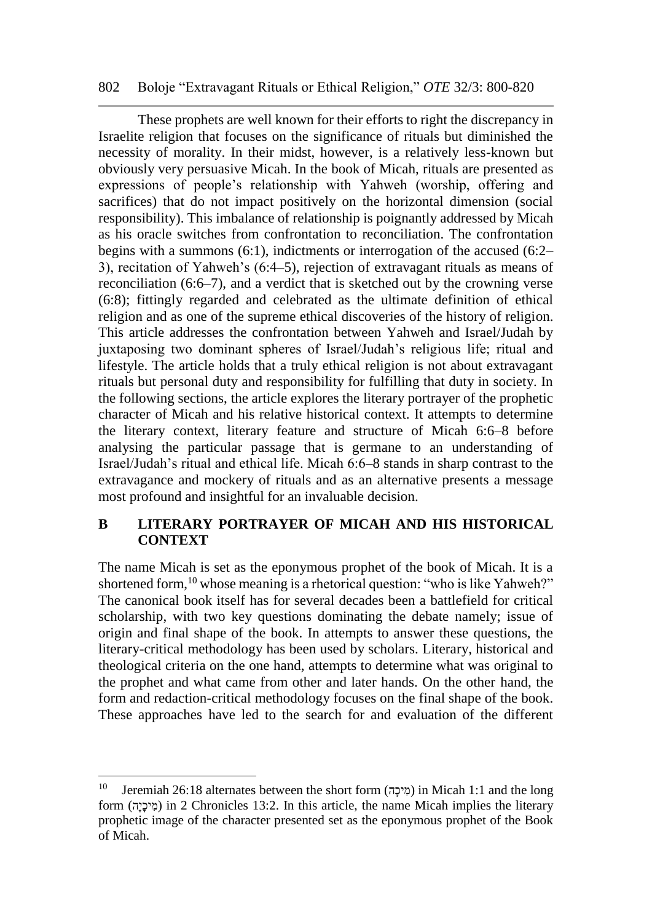#### 802 Boloje "Extravagant Rituals or Ethical Religion," *OTE* 32/3: 800-820

These prophets are well known for their efforts to right the discrepancy in Israelite religion that focuses on the significance of rituals but diminished the necessity of morality. In their midst, however, is a relatively less-known but obviously very persuasive Micah. In the book of Micah, rituals are presented as expressions of people's relationship with Yahweh (worship, offering and sacrifices) that do not impact positively on the horizontal dimension (social responsibility). This imbalance of relationship is poignantly addressed by Micah as his oracle switches from confrontation to reconciliation. The confrontation begins with a summons (6:1), indictments or interrogation of the accused (6:2– 3), recitation of Yahweh's (6:4–5), rejection of extravagant rituals as means of reconciliation (6:6–7), and a verdict that is sketched out by the crowning verse (6:8); fittingly regarded and celebrated as the ultimate definition of ethical religion and as one of the supreme ethical discoveries of the history of religion. This article addresses the confrontation between Yahweh and Israel/Judah by juxtaposing two dominant spheres of Israel/Judah's religious life; ritual and lifestyle. The article holds that a truly ethical religion is not about extravagant rituals but personal duty and responsibility for fulfilling that duty in society. In the following sections, the article explores the literary portrayer of the prophetic character of Micah and his relative historical context. It attempts to determine the literary context, literary feature and structure of Micah 6:6–8 before analysing the particular passage that is germane to an understanding of Israel/Judah's ritual and ethical life. Micah 6:6–8 stands in sharp contrast to the extravagance and mockery of rituals and as an alternative presents a message most profound and insightful for an invaluable decision.

# **B LITERARY PORTRAYER OF MICAH AND HIS HISTORICAL CONTEXT**

The name Micah is set as the eponymous prophet of the book of Micah. It is a shortened form,<sup>10</sup> whose meaning is a rhetorical question: "who is like Yahweh?" The canonical book itself has for several decades been a battlefield for critical scholarship, with two key questions dominating the debate namely; issue of origin and final shape of the book. In attempts to answer these questions, the literary-critical methodology has been used by scholars. Literary, historical and theological criteria on the one hand, attempts to determine what was original to the prophet and what came from other and later hands. On the other hand, the form and redaction-critical methodology focuses on the final shape of the book. These approaches have led to the search for and evaluation of the different

 $10$  Jeremiah 26:18 alternates between the short form (מִיכָה) in Micah 1:1 and the long form (מִיכֵה) in 2 Chronicles 13:2. In this article, the name Micah implies the literary prophetic image of the character presented set as the eponymous prophet of the Book of Micah.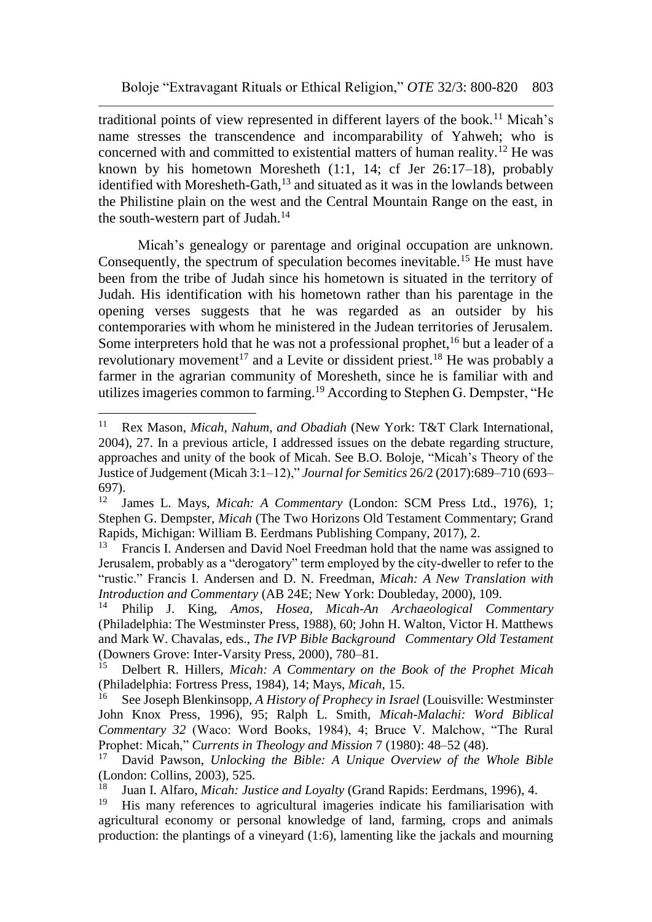traditional points of view represented in different layers of the book.<sup>11</sup> Micah's name stresses the transcendence and incomparability of Yahweh; who is concerned with and committed to existential matters of human reality.<sup>12</sup> He was known by his hometown Moresheth (1:1, 14; cf Jer 26:17–18), probably identified with Moresheth-Gath, $^{13}$  and situated as it was in the lowlands between the Philistine plain on the west and the Central Mountain Range on the east, in the south-western part of Judah. $14$ 

Micah's genealogy or parentage and original occupation are unknown. Consequently, the spectrum of speculation becomes inevitable.<sup>15</sup> He must have been from the tribe of Judah since his hometown is situated in the territory of Judah. His identification with his hometown rather than his parentage in the opening verses suggests that he was regarded as an outsider by his contemporaries with whom he ministered in the Judean territories of Jerusalem. Some interpreters hold that he was not a professional prophet,  $16$  but a leader of a revolutionary movement<sup>17</sup> and a Levite or dissident priest.<sup>18</sup> He was probably a farmer in the agrarian community of Moresheth, since he is familiar with and utilizes imageries common to farming.<sup>19</sup> According to Stephen G. Dempster, "He

 $11\,$ <sup>11</sup> Rex Mason, *Micah, Nahum, and Obadiah* (New York: T&T Clark International, 2004), 27. In a previous article, I addressed issues on the debate regarding structure, approaches and unity of the book of Micah. See B.O. Boloje, "Micah's Theory of the Justice of Judgement (Micah 3:1–12)," *Journal for Semitics* 26/2 (2017):689–710 (693– 697).

<sup>12</sup> James L. Mays, *Micah: A Commentary* (London: SCM Press Ltd., 1976), 1; Stephen G. Dempster, *Micah* (The Two Horizons Old Testament Commentary; Grand Rapids, Michigan: William B. Eerdmans Publishing Company, 2017), 2.<br><sup>13</sup> Erancis J. Andersen and David Noel Ereedman hold that the name w

<sup>13</sup> Francis I. Andersen and David Noel Freedman hold that the name was assigned to Jerusalem, probably as a "derogatory" term employed by the city-dweller to refer to the "rustic." Francis I. Andersen and D. N. Freedman, *Micah: A New Translation with Introduction and Commentary* (AB 24E; New York: Doubleday, 2000), 109.

<sup>14</sup> Philip J. King, *Amos, Hosea, Micah-An Archaeological Commentary*  (Philadelphia: The Westminster Press, 1988), 60; John H. Walton, Victor H. Matthews and Mark W. Chavalas, eds., *The IVP Bible Background Commentary Old Testament*  (Downers Grove: Inter-Varsity Press, 2000), 780–81.

<sup>15</sup> Delbert R. Hillers, *Micah: A Commentary on the Book of the Prophet Micah*  (Philadelphia: Fortress Press, 1984), 14; Mays, *Micah*, 15.

<sup>16</sup> See Joseph Blenkinsopp, *A History of Prophecy in Israel* (Louisville: Westminster John Knox Press, 1996), 95; Ralph L. Smith, *Micah-Malachi: Word Biblical Commentary 32* (Waco: Word Books, 1984), 4; Bruce V. Malchow, "The Rural Prophet: Micah," *Currents in Theology and Mission* 7 (1980): 48–52 (48).

<sup>17</sup> David Pawson, *Unlocking the Bible: A Unique Overview of the Whole Bible*  (London: Collins, 2003), 525.

<sup>18</sup> Juan I. Alfaro, *Micah: Justice and Loyalty* (Grand Rapids: Eerdmans, 1996), 4.

<sup>19</sup> His many references to agricultural imageries indicate his familiarisation with agricultural economy or personal knowledge of land, farming, crops and animals production: the plantings of a vineyard (1:6), lamenting like the jackals and mourning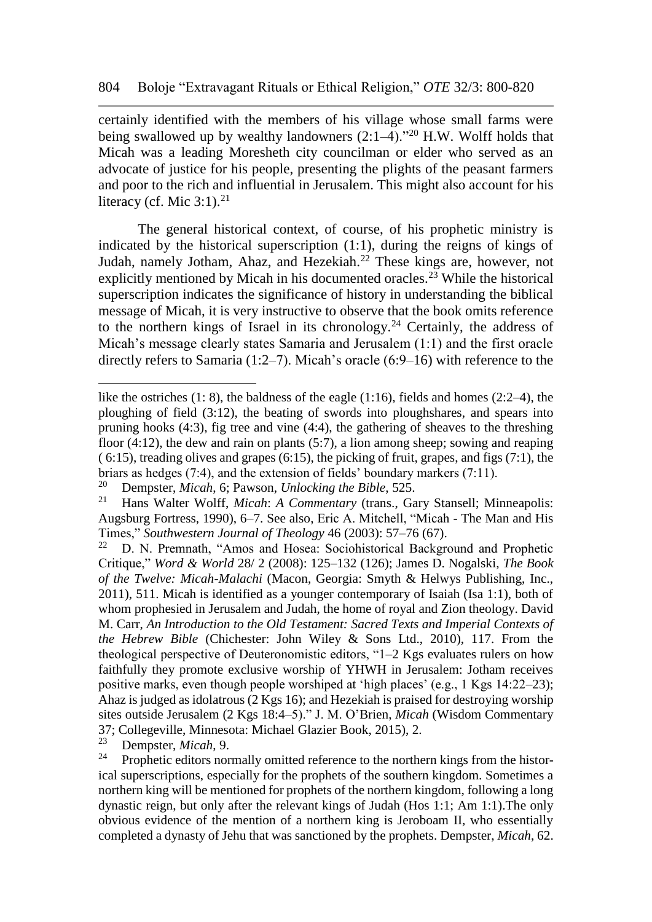certainly identified with the members of his village whose small farms were being swallowed up by wealthy landowners  $(2:1–4).$ <sup>20</sup> H.W. Wolff holds that Micah was a leading Moresheth city councilman or elder who served as an advocate of justice for his people, presenting the plights of the peasant farmers and poor to the rich and influential in Jerusalem. This might also account for his literacy (cf. Mic  $3:1$ ).<sup>21</sup>

The general historical context, of course, of his prophetic ministry is indicated by the historical superscription (1:1), during the reigns of kings of Judah, namely Jotham, Ahaz, and Hezekiah.<sup>22</sup> These kings are, however, not explicitly mentioned by Micah in his documented oracles.<sup>23</sup> While the historical superscription indicates the significance of history in understanding the biblical message of Micah, it is very instructive to observe that the book omits reference to the northern kings of Israel in its chronology.<sup>24</sup> Certainly, the address of Micah's message clearly states Samaria and Jerusalem (1:1) and the first oracle directly refers to Samaria (1:2–7). Micah's oracle (6:9–16) with reference to the

<sup>23</sup> Dempster, *Micah*, 9.

like the ostriches  $(1: 8)$ , the baldness of the eagle  $(1:16)$ , fields and homes  $(2:2-4)$ , the ploughing of field (3:12), the beating of swords into ploughshares, and spears into pruning hooks (4:3), fig tree and vine (4:4), the gathering of sheaves to the threshing floor (4:12), the dew and rain on plants (5:7), a lion among sheep; sowing and reaping  $(6:15)$ , treading olives and grapes  $(6:15)$ , the picking of fruit, grapes, and figs  $(7:1)$ , the briars as hedges (7:4), and the extension of fields' boundary markers (7:11).<br><sup>20</sup> Dempster *Micah* 6: Payson *Unlocking the Bible* 525

<sup>20</sup> Dempster, *Micah*, 6; Pawson, *Unlocking the Bible*, 525.

<sup>21</sup> Hans Walter Wolff, *Micah*: *A Commentary* (trans., Gary Stansell; Minneapolis: Augsburg Fortress, 1990), 6–7. See also, Eric A. Mitchell, "Micah - The Man and His Times," *Southwestern Journal of Theology* 46 (2003): 57–76 (67).<br><sup>22</sup> D. N. Premnath "Amos and Hosea: Sociobistorical Backgra

D. N. Premnath, "Amos and Hosea: Sociohistorical Background and Prophetic Critique," *Word & World* 28/ 2 (2008): 125–132 (126); James D. Nogalski, *The Book of the Twelve: Micah-Malachi* (Macon, Georgia: Smyth & Helwys Publishing, Inc., 2011), 511. Micah is identified as a younger contemporary of Isaiah (Isa 1:1), both of whom prophesied in Jerusalem and Judah, the home of royal and Zion theology. David M. Carr, *An Introduction to the Old Testament: Sacred Texts and Imperial Contexts of the Hebrew Bible* (Chichester: John Wiley & Sons Ltd., 2010), 117. From the theological perspective of Deuteronomistic editors, "1–2 Kgs evaluates rulers on how faithfully they promote exclusive worship of YHWH in Jerusalem: Jotham receives positive marks, even though people worshiped at 'high places' (e.g., 1 Kgs 14:22–23); Ahaz is judged as idolatrous (2 Kgs 16); and Hezekiah is praised for destroying worship sites outside Jerusalem (2 Kgs 18:4–5)." J. M. O'Brien, *Micah* (Wisdom Commentary 37; Collegeville, Minnesota: Michael Glazier Book, 2015), 2.<br><sup>23</sup> Dempster *Micah* 9

Prophetic editors normally omitted reference to the northern kings from the historical superscriptions, especially for the prophets of the southern kingdom. Sometimes a northern king will be mentioned for prophets of the northern kingdom, following a long dynastic reign, but only after the relevant kings of Judah (Hos 1:1; Am 1:1).The only obvious evidence of the mention of a northern king is Jeroboam II, who essentially completed a dynasty of Jehu that was sanctioned by the prophets. Dempster, *Micah*, 62.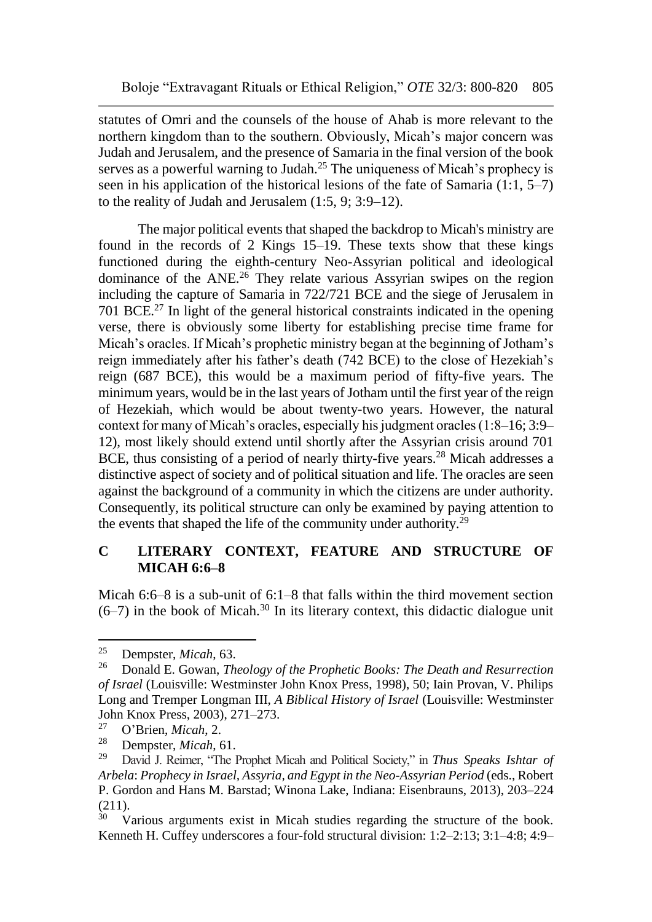statutes of Omri and the counsels of the house of Ahab is more relevant to the northern kingdom than to the southern. Obviously, Micah's major concern was Judah and Jerusalem, and the presence of Samaria in the final version of the book serves as a powerful warning to Judah.<sup>25</sup> The uniqueness of Micah's prophecy is seen in his application of the historical lesions of the fate of Samaria  $(1:1, 5-7)$ to the reality of Judah and Jerusalem (1:5, 9; 3:9–12).

The major political events that shaped the backdrop to Micah's ministry are found in the records of 2 Kings 15–19. These texts show that these kings functioned during the eighth-century Neo-Assyrian political and ideological dominance of the ANE.<sup>26</sup> They relate various Assyrian swipes on the region including the capture of Samaria in 722/721 BCE and the siege of Jerusalem in 701 BCE.<sup>27</sup> In light of the general historical constraints indicated in the opening verse, there is obviously some liberty for establishing precise time frame for Micah's oracles. If Micah's prophetic ministry began at the beginning of Jotham's reign immediately after his father's death (742 BCE) to the close of Hezekiah's reign (687 BCE), this would be a maximum period of fifty-five years. The minimum years, would be in the last years of Jotham until the first year of the reign of Hezekiah, which would be about twenty-two years. However, the natural context for many of Micah's oracles, especially his judgment oracles (1:8–16; 3:9– 12), most likely should extend until shortly after the Assyrian crisis around 701 BCE, thus consisting of a period of nearly thirty-five years.<sup>28</sup> Micah addresses a distinctive aspect of society and of political situation and life. The oracles are seen against the background of a community in which the citizens are under authority. Consequently, its political structure can only be examined by paying attention to the events that shaped the life of the community under authority.<sup>29</sup>

### **C LITERARY CONTEXT, FEATURE AND STRUCTURE OF MICAH 6:6–8**

Micah 6:6–8 is a sub-unit of 6:1–8 that falls within the third movement section  $(6-7)$  in the book of Micah.<sup>30</sup> In its literary context, this didactic dialogue unit

<sup>25</sup> Dempster, *Micah*, 63.

<sup>26</sup> Donald E. Gowan, *Theology of the Prophetic Books: The Death and Resurrection of Israel* (Louisville: Westminster John Knox Press, 1998), 50; Iain Provan, V. Philips Long and Tremper Longman III, *A Biblical History of Israel* (Louisville: Westminster John Knox Press, 2003), 271–273.<br><sup>27</sup> O'Prion Missh 2.

<sup>27</sup> O'Brien, *Micah*, 2.

<sup>&</sup>lt;sup>28</sup> Dempster, *Micah*, 61.<br><sup>29</sup> David J Reimer 'The l

<sup>29</sup> David J. Reimer, "The Prophet Micah and Political Society," in *Thus Speaks Ishtar of Arbela*: *Prophecy in Israel, Assyria, and Egypt in the Neo-Assyrian Period* (eds., Robert P. Gordon and Hans M. Barstad; Winona Lake, Indiana: Eisenbrauns, 2013), 203–224  $\frac{(211)}{30}$ 

Various arguments exist in Micah studies regarding the structure of the book. Kenneth H. Cuffey underscores a four-fold structural division: 1:2–2:13; 3:1–4:8; 4:9–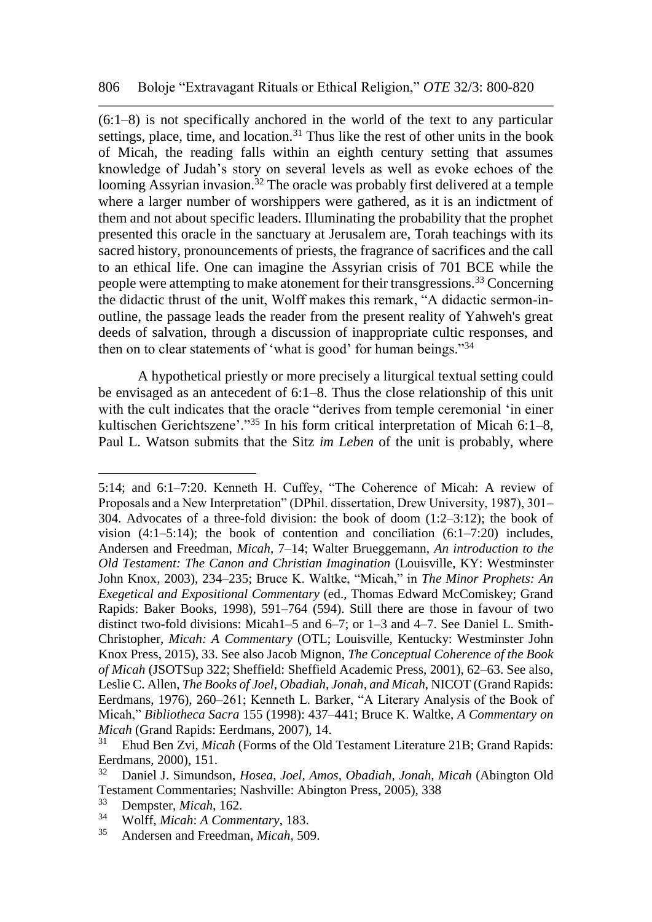(6:1–8) is not specifically anchored in the world of the text to any particular settings, place, time, and location.<sup>31</sup> Thus like the rest of other units in the book of Micah, the reading falls within an eighth century setting that assumes knowledge of Judah's story on several levels as well as evoke echoes of the looming Assyrian invasion.<sup>32</sup> The oracle was probably first delivered at a temple where a larger number of worshippers were gathered, as it is an indictment of them and not about specific leaders. Illuminating the probability that the prophet presented this oracle in the sanctuary at Jerusalem are, Torah teachings with its sacred history, pronouncements of priests, the fragrance of sacrifices and the call to an ethical life. One can imagine the Assyrian crisis of 701 BCE while the people were attempting to make atonement for their transgressions.<sup>33</sup> Concerning the didactic thrust of the unit, Wolff makes this remark, "A didactic sermon-inoutline, the passage leads the reader from the present reality of Yahweh's great deeds of salvation, through a discussion of inappropriate cultic responses, and then on to clear statements of 'what is good' for human beings."<sup>34</sup>

A hypothetical priestly or more precisely a liturgical textual setting could be envisaged as an antecedent of 6:1–8. Thus the close relationship of this unit with the cult indicates that the oracle "derives from temple ceremonial 'in einer kultischen Gerichtszene'."<sup>35</sup> In his form critical interpretation of Micah 6:1–8, Paul L. Watson submits that the Sitz *im Leben* of the unit is probably, where

<sup>5:14;</sup> and 6:1–7:20. Kenneth H. Cuffey, "The Coherence of Micah: A review of Proposals and a New Interpretation" (DPhil. dissertation, Drew University, 1987), 301– 304. Advocates of a three-fold division: the book of doom  $(1:2-3:12)$ ; the book of vision  $(4:1-5:14)$ ; the book of contention and conciliation  $(6:1-7:20)$  includes, Andersen and Freedman, *Micah*, 7–14; Walter Brueggemann, *An introduction to the Old Testament: The Canon and Christian Imagination* (Louisville, KY: Westminster John Knox, 2003), 234–235; Bruce K. Waltke, "Micah," in *The Minor Prophets: An Exegetical and Expositional Commentary* (ed., Thomas Edward McComiskey; Grand Rapids: Baker Books, 1998), 591–764 (594). Still there are those in favour of two distinct two-fold divisions: Micah1–5 and 6–7; or 1–3 and 4–7. See Daniel L. Smith-Christopher, *Micah: A Commentary* (OTL; Louisville, Kentucky: Westminster John Knox Press, 2015), 33. See also Jacob Mignon, *The Conceptual Coherence of the Book of Micah* (JSOTSup 322; Sheffield: Sheffield Academic Press, 2001), 62–63. See also, Leslie C. Allen, *The Books of Joel, Obadiah, Jonah, and Micah*, NICOT (Grand Rapids: Eerdmans, 1976), 260–261; Kenneth L. Barker, "A Literary Analysis of the Book of Micah," *Bibliotheca Sacra* 155 (1998): 437–441; Bruce K. Waltke, *A Commentary on Micah* (Grand Rapids: Eerdmans, 2007), 14.<br><sup>31</sup> Ebud Ben Zyi, *Micah* (Forms of the Old

<sup>31</sup> Ehud Ben Zvi, *Micah* (Forms of the Old Testament Literature 21B; Grand Rapids: Eerdmans, 2000), 151.<br> $\frac{32}{2}$  Daniel J. Simunds

<sup>32</sup> Daniel J. Simundson, *Hosea, Joel, Amos, Obadiah, Jonah, Micah* (Abington Old Testament Commentaries; Nashville: Abington Press, 2005), 338<br>33 Demneter Miggle 162

<sup>&</sup>lt;sup>33</sup> Dempster, *Micah*, 162.<br><sup>34</sup> Wolff *Micah:* A Comm

<sup>34</sup> Wolff, *Micah*: *A Commentary*, 183.

<sup>35</sup> Andersen and Freedman, *Micah*, 509.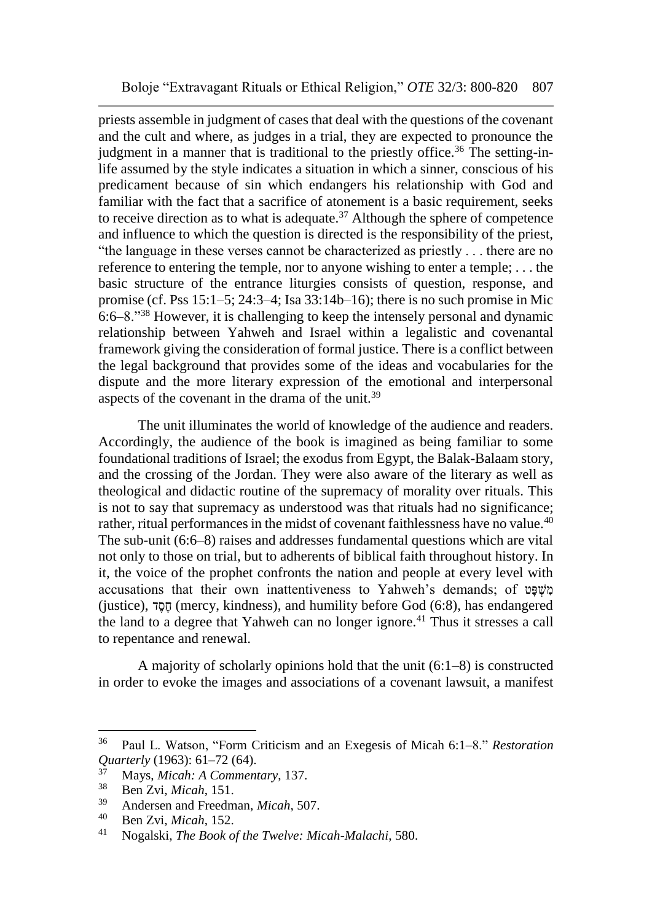priests assemble in judgment of cases that deal with the questions of the covenant and the cult and where, as judges in a trial, they are expected to pronounce the judgment in a manner that is traditional to the priestly office.<sup>36</sup> The setting-inlife assumed by the style indicates a situation in which a sinner, conscious of his predicament because of sin which endangers his relationship with God and familiar with the fact that a sacrifice of atonement is a basic requirement, seeks to receive direction as to what is adequate.<sup>37</sup> Although the sphere of competence and influence to which the question is directed is the responsibility of the priest, "the language in these verses cannot be characterized as priestly . . . there are no reference to entering the temple, nor to anyone wishing to enter a temple; . . . the basic structure of the entrance liturgies consists of question, response, and promise (cf. Pss 15:1–5; 24:3–4; Isa 33:14b–16); there is no such promise in Mic 6:6–8."<sup>38</sup> However, it is challenging to keep the intensely personal and dynamic relationship between Yahweh and Israel within a legalistic and covenantal framework giving the consideration of formal justice. There is a conflict between the legal background that provides some of the ideas and vocabularies for the dispute and the more literary expression of the emotional and interpersonal aspects of the covenant in the drama of the unit.<sup>39</sup>

The unit illuminates the world of knowledge of the audience and readers. Accordingly, the audience of the book is imagined as being familiar to some foundational traditions of Israel; the exodus from Egypt, the Balak-Balaam story, and the crossing of the Jordan. They were also aware of the literary as well as theological and didactic routine of the supremacy of morality over rituals. This is not to say that supremacy as understood was that rituals had no significance; rather, ritual performances in the midst of covenant faithlessness have no value.<sup>40</sup> The sub-unit (6:6–8) raises and addresses fundamental questions which are vital not only to those on trial, but to adherents of biblical faith throughout history. In it, the voice of the prophet confronts the nation and people at every level with accusations that their own inattentiveness to Yahweh's demands; of מָשׁפּט (justice), הסד $($  mercy, kindness), and humility before God  $(6:8)$ , has endangered the land to a degree that Yahweh can no longer ignore.<sup>41</sup> Thus it stresses a call to repentance and renewal.

A majority of scholarly opinions hold that the unit (6:1–8) is constructed in order to evoke the images and associations of a covenant lawsuit, a manifest

<sup>36</sup> Paul L. Watson, "Form Criticism and an Exegesis of Micah 6:1–8." *Restoration Quarterly* (1963): 61–72 (64).

<sup>37</sup> Mays, *Micah: A Commentary*, 137.

<sup>38</sup> Ben Zvi, *Micah*, 151.

<sup>39</sup> Andersen and Freedman, *Micah*, 507.

<sup>40</sup> Ben Zvi, *Micah*, 152.

<sup>41</sup> Nogalski, *The Book of the Twelve: Micah-Malachi*, 580.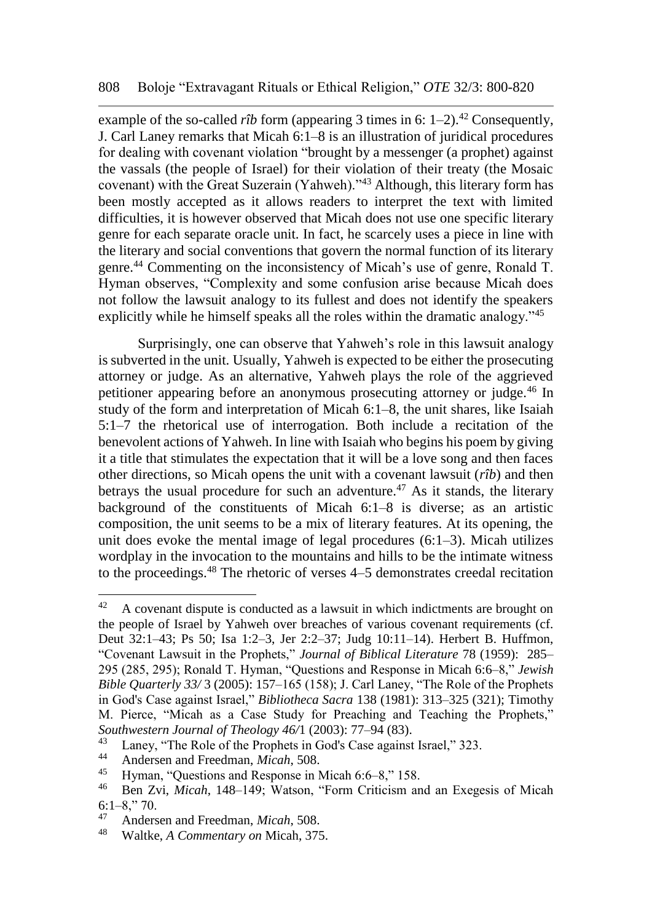example of the so-called *rîb* form (appearing 3 times in 6:  $1-2$ ).<sup>42</sup> Consequently, J. Carl Laney remarks that Micah 6:1–8 is an illustration of juridical procedures for dealing with covenant violation "brought by a messenger (a prophet) against the vassals (the people of Israel) for their violation of their treaty (the Mosaic covenant) with the Great Suzerain (Yahweh)."<sup>43</sup> Although, this literary form has been mostly accepted as it allows readers to interpret the text with limited difficulties, it is however observed that Micah does not use one specific literary genre for each separate oracle unit. In fact, he scarcely uses a piece in line with the literary and social conventions that govern the normal function of its literary genre.<sup>44</sup> Commenting on the inconsistency of Micah's use of genre, Ronald T. Hyman observes, "Complexity and some confusion arise because Micah does not follow the lawsuit analogy to its fullest and does not identify the speakers explicitly while he himself speaks all the roles within the dramatic analogy."<sup>45</sup>

Surprisingly, one can observe that Yahweh's role in this lawsuit analogy is subverted in the unit. Usually, Yahweh is expected to be either the prosecuting attorney or judge. As an alternative, Yahweh plays the role of the aggrieved petitioner appearing before an anonymous prosecuting attorney or judge.<sup>46</sup> In study of the form and interpretation of Micah 6:1–8, the unit shares, like Isaiah 5:1–7 the rhetorical use of interrogation. Both include a recitation of the benevolent actions of Yahweh. In line with Isaiah who begins his poem by giving it a title that stimulates the expectation that it will be a love song and then faces other directions, so Micah opens the unit with a covenant lawsuit (*rîb*) and then betrays the usual procedure for such an adventure.<sup>47</sup> As it stands, the literary background of the constituents of Micah 6:1–8 is diverse; as an artistic composition, the unit seems to be a mix of literary features. At its opening, the unit does evoke the mental image of legal procedures (6:1–3). Micah utilizes wordplay in the invocation to the mountains and hills to be the intimate witness to the proceedings.<sup>48</sup> The rhetoric of verses 4–5 demonstrates creedal recitation

 $42$  A covenant dispute is conducted as a lawsuit in which indictments are brought on the people of Israel by Yahweh over breaches of various covenant requirements (cf. Deut 32:1–43; Ps 50; Isa 1:2–3, Jer 2:2–37; Judg 10:11–14). Herbert B. Huffmon, "Covenant Lawsuit in the Prophets," *Journal of Biblical Literature* 78 (1959): 285– 295 (285, 295); Ronald T. Hyman, "Questions and Response in Micah 6:6–8," *Jewish Bible Quarterly 33/* 3 (2005): 157–165 (158); J. Carl Laney, "The Role of the Prophets in God's Case against Israel," *Bibliotheca Sacra* 138 (1981): 313–325 (321); Timothy M. Pierce, "Micah as a Case Study for Preaching and Teaching the Prophets," *Southwestern Journal of Theology 46/*1 (2003): 77–94 (83).

<sup>&</sup>lt;sup>43</sup> Laney, "The Role of the Prophets in God's Case against Israel," 323.<br><sup>44</sup> Anderson and Freedman, Miggh 508.

<sup>44</sup> Andersen and Freedman, *Micah*, 508.

Hyman, "Questions and Response in Micah 6:6–8," 158.

<sup>46</sup> Ben Zvi, *Micah*, 148–149; Watson, "Form Criticism and an Exegesis of Micah  $6:1-8$ ," 70.

<sup>&</sup>lt;sup>47</sup> Andersen and Freedman, *Micah*, 508.<br><sup>48</sup> Waltka A Commantary on Micah, 375

<sup>48</sup> Waltke, *A Commentary on* Micah, 375.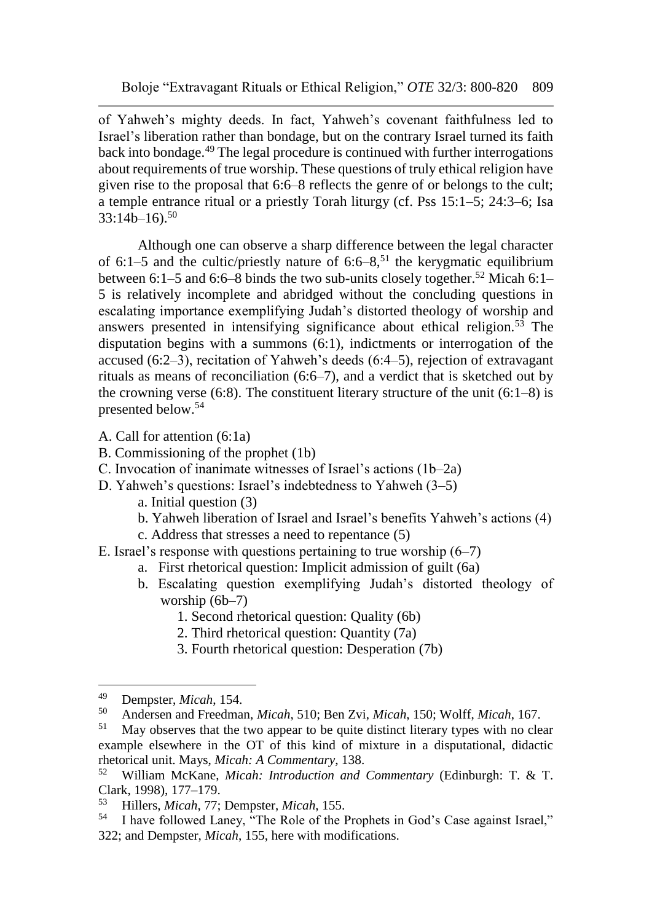of Yahweh's mighty deeds. In fact, Yahweh's covenant faithfulness led to Israel's liberation rather than bondage, but on the contrary Israel turned its faith back into bondage.<sup>49</sup> The legal procedure is continued with further interrogations about requirements of true worship. These questions of truly ethical religion have given rise to the proposal that 6:6–8 reflects the genre of or belongs to the cult; a temple entrance ritual or a priestly Torah liturgy (cf. Pss 15:1–5; 24:3–6; Isa  $33:14b-16$ .<sup>50</sup>

Although one can observe a sharp difference between the legal character of  $6:1-5$  and the cultic/priestly nature of  $6:6-8$ ,<sup>51</sup> the kerygmatic equilibrium between 6:1–5 and 6:6–8 binds the two sub-units closely together.<sup>52</sup> Micah 6:1– 5 is relatively incomplete and abridged without the concluding questions in escalating importance exemplifying Judah's distorted theology of worship and answers presented in intensifying significance about ethical religion.<sup>53</sup> The disputation begins with a summons (6:1), indictments or interrogation of the accused (6:2–3), recitation of Yahweh's deeds (6:4–5), rejection of extravagant rituals as means of reconciliation (6:6–7), and a verdict that is sketched out by the crowning verse  $(6:8)$ . The constituent literary structure of the unit  $(6:1-8)$  is presented below.<sup>54</sup>

- A. Call for attention (6:1a)
- B. Commissioning of the prophet (1b)
- C. Invocation of inanimate witnesses of Israel's actions (1b–2a)
- D. Yahweh's questions: Israel's indebtedness to Yahweh (3–5)
	- a. Initial question (3)
	- b. Yahweh liberation of Israel and Israel's benefits Yahweh's actions (4)
	- c. Address that stresses a need to repentance (5)
- E. Israel's response with questions pertaining to true worship  $(6-7)$ 
	- a. First rhetorical question: Implicit admission of guilt (6a)
	- b. Escalating question exemplifying Judah's distorted theology of worship (6b–7)
		- 1. Second rhetorical question: Quality (6b)
		- 2. Third rhetorical question: Quantity (7a)
		- 3. Fourth rhetorical question: Desperation (7b)

<sup>&</sup>lt;sup>49</sup> Dempster, *Micah*, 154.<br><sup>50</sup> Andersen and Freedma

<sup>50</sup> Andersen and Freedman, *Micah*, 510; Ben Zvi, *Micah*, 150; Wolff, *Micah*, 167.

May observes that the two appear to be quite distinct literary types with no clear example elsewhere in the OT of this kind of mixture in a disputational, didactic rhetorical unit. Mays, *Micah: A Commentary*, 138.

<sup>52</sup> William McKane, *Micah: Introduction and Commentary* (Edinburgh: T. & T. Clark, 1998), 177–179.<br><sup>53</sup> Hillers, Miggh 77.

<sup>53</sup> Hillers, *Micah*, 77; Dempster, *Micah*, 155.

I have followed Laney, "The Role of the Prophets in God's Case against Israel," 322; and Dempster, *Micah*, 155, here with modifications.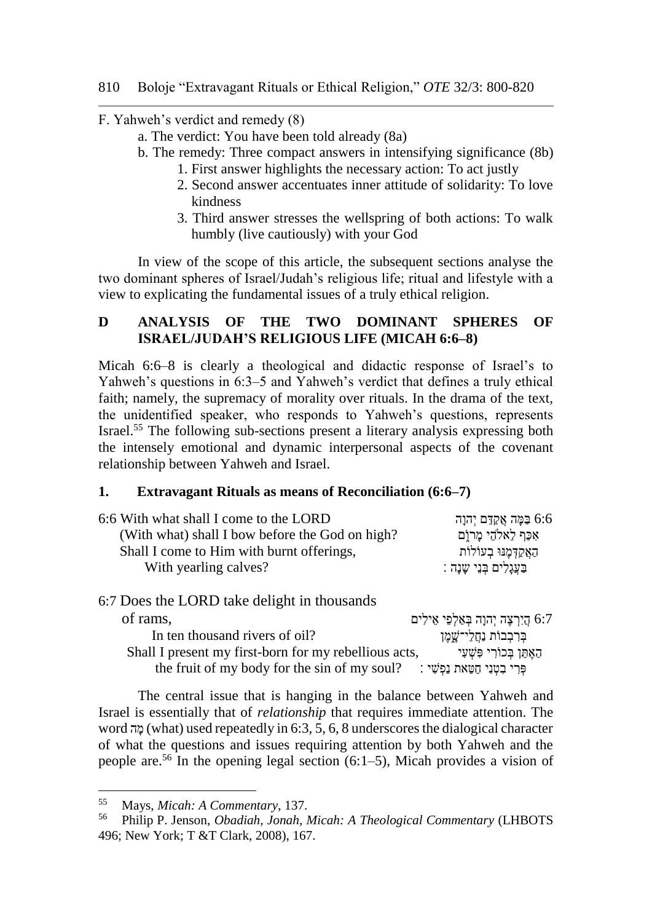F. Yahweh's verdict and remedy (8)

- a. The verdict: You have been told already (8a)
- b. The remedy: Three compact answers in intensifying significance (8b)
	- 1. First answer highlights the necessary action: To act justly
	- 2. Second answer accentuates inner attitude of solidarity: To love kindness
	- 3. Third answer stresses the wellspring of both actions: To walk humbly (live cautiously) with your God

In view of the scope of this article, the subsequent sections analyse the two dominant spheres of Israel/Judah's religious life; ritual and lifestyle with a view to explicating the fundamental issues of a truly ethical religion.

# **D ANALYSIS OF THE TWO DOMINANT SPHERES OF ISRAEL/JUDAH'S RELIGIOUS LIFE (MICAH 6:6–8)**

Micah 6:6–8 is clearly a theological and didactic response of Israel's to Yahweh's questions in 6:3–5 and Yahweh's verdict that defines a truly ethical faith; namely, the supremacy of morality over rituals. In the drama of the text, the unidentified speaker, who responds to Yahweh's questions, represents Israel.<sup>55</sup> The following sub-sections present a literary analysis expressing both the intensely emotional and dynamic interpersonal aspects of the covenant relationship between Yahweh and Israel.

### **1. Extravagant Rituals as means of Reconciliation (6:6–7)**

| 6:6 With what shall I come to the LORD          | 6:6 בַּמָּה אֲקָדֶם יִהוָה  |
|-------------------------------------------------|-----------------------------|
| (With what) shall I bow before the God on high? | אִכַּף לֵאלֹהֵי מַרוָּם     |
| Shall I come to Him with burnt offerings,       | האַקִדְמֵנּוּ בְעוֹלוֹת     |
| With yearling calves?                           | בַּעֲגָלִים בָּנֵי שֶׁנָה : |
| 6:7 Does the LORD take delight in thousands     |                             |

| of rams,                                                                       | 6:7 הַיִרְצָה יִהוָה בְּאַלְפֵי אֵילִים |
|--------------------------------------------------------------------------------|-----------------------------------------|
| In ten thousand rivers of oil?                                                 | ּבִּרְבְבוֹת נַחֲלֵי־שֲמֶן              |
| Shall I present my first-born for my rebellious acts,                          | האֵתֵן בִּכוֹרִי פִּשָׁעָי              |
| the fruit of my body for the sin of my soul? : פְּרִי בִטְנִי חַטֵּאת נַפְשִׁי |                                         |

The central issue that is hanging in the balance between Yahweh and Israel is essentially that of *relationship* that requires immediate attention. The word ה ָּמ) what) used repeatedly in 6:3, 5, 6, 8 underscores the dialogical character of what the questions and issues requiring attention by both Yahweh and the people are.<sup>56</sup> In the opening legal section  $(6:1-5)$ , Micah provides a vision of

<sup>55</sup> Mays, *Micah: A Commentary*, 137.

<sup>56</sup> Philip P. Jenson, *Obadiah, Jonah, Micah: A Theological Commentary* (LHBOTS 496; New York; T &T Clark, 2008), 167.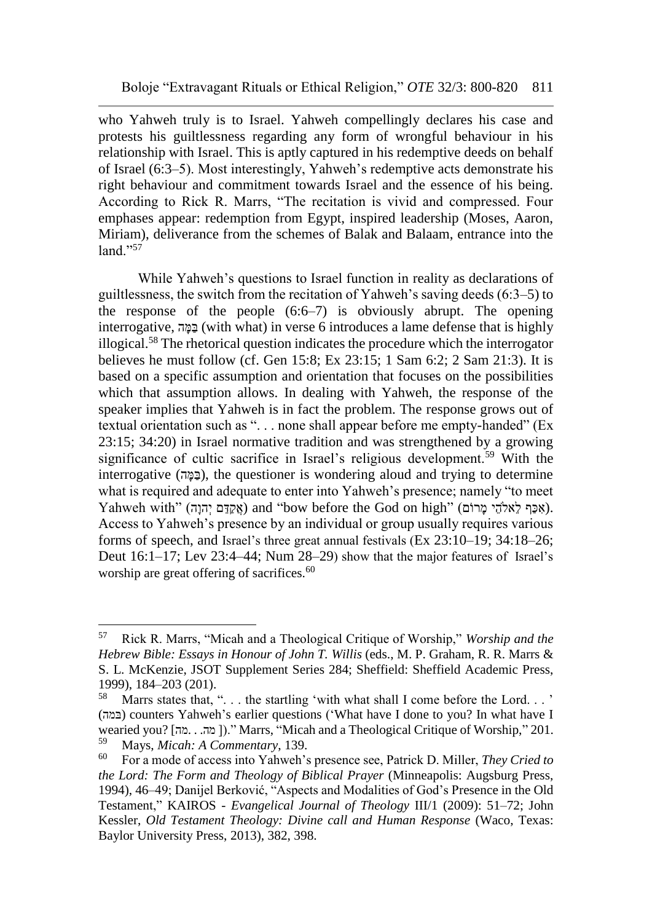who Yahweh truly is to Israel. Yahweh compellingly declares his case and protests his guiltlessness regarding any form of wrongful behaviour in his relationship with Israel. This is aptly captured in his redemptive deeds on behalf of Israel (6:3–5). Most interestingly, Yahweh's redemptive acts demonstrate his right behaviour and commitment towards Israel and the essence of his being. According to Rick R. Marrs, "The recitation is vivid and compressed. Four emphases appear: redemption from Egypt, inspired leadership (Moses, Aaron, Miriam), deliverance from the schemes of Balak and Balaam, entrance into the  $l$ and."<sup>57</sup>

While Yahweh's questions to Israel function in reality as declarations of guiltlessness, the switch from the recitation of Yahweh's saving deeds (6:3–5) to the response of the people  $(6:6-7)$  is obviously abrupt. The opening interrogative, בַּמֵּה (with what) in verse 6 introduces a lame defense that is highly illogical.<sup>58</sup> The rhetorical question indicates the procedure which the interrogator believes he must follow (cf. Gen 15:8; Ex 23:15; 1 Sam 6:2; 2 Sam 21:3). It is based on a specific assumption and orientation that focuses on the possibilities which that assumption allows. In dealing with Yahweh, the response of the speaker implies that Yahweh is in fact the problem. The response grows out of textual orientation such as ". . . none shall appear before me empty-handed" (Ex 23:15; 34:20) in Israel normative tradition and was strengthened by a growing significance of cultic sacrifice in Israel's religious development.<sup>59</sup> With the interrogative (במה), the questioner is wondering aloud and trying to determine what is required and adequate to enter into Yahweh's presence; namely "to meet Yahweh with" (אָכַּף לִאלֹהֵי מָרוֹם) and "bow before the God on high" (אָכַּף לִאלֹהֵי מָרוֹם). Access to Yahweh's presence by an individual or group usually requires various forms of speech, and Israel's three great annual festivals (Ex 23:10–19; 34:18–26; Deut 16:1–17; Lev 23:4–44; Num 28–29) show that the major features of Israel's worship are great offering of sacrifices.<sup>60</sup>

<sup>57</sup> Rick R. Marrs, "Micah and a Theological Critique of Worship," *Worship and the Hebrew Bible: Essays in Honour of John T. Willis* (eds., M. P. Graham, R. R. Marrs & S. L. McKenzie, JSOT Supplement Series 284; Sheffield: Sheffield Academic Press, 1999), 184–203 (201).

<sup>58</sup> Marrs states that, ". . . the startling 'with what shall I come before the Lord. . . ' (במה (counters Yahweh's earlier questions ('What have I done to you? In what have I wearied you? [מה...מה])." Marrs, "Micah and a Theological Critique of Worship," 201.<br><sup>59</sup> Mays, Micah: A Commentary, 139 <sup>59</sup> Mays, *Micah: A Commentary*, 139.

<sup>60</sup> For a mode of access into Yahweh's presence see, Patrick D. Miller, *They Cried to the Lord: The Form and Theology of Biblical Prayer* (Minneapolis: Augsburg Press, 1994), 46–49; Danijel Berković, "Aspects and Modalities of God's Presence in the Old Testament," KAIROS - *Evangelical Journal of Theology* III/1 (2009): 51–72; John Kessler, *Old Testament Theology: Divine call and Human Response* (Waco, Texas: Baylor University Press, 2013), 382, 398.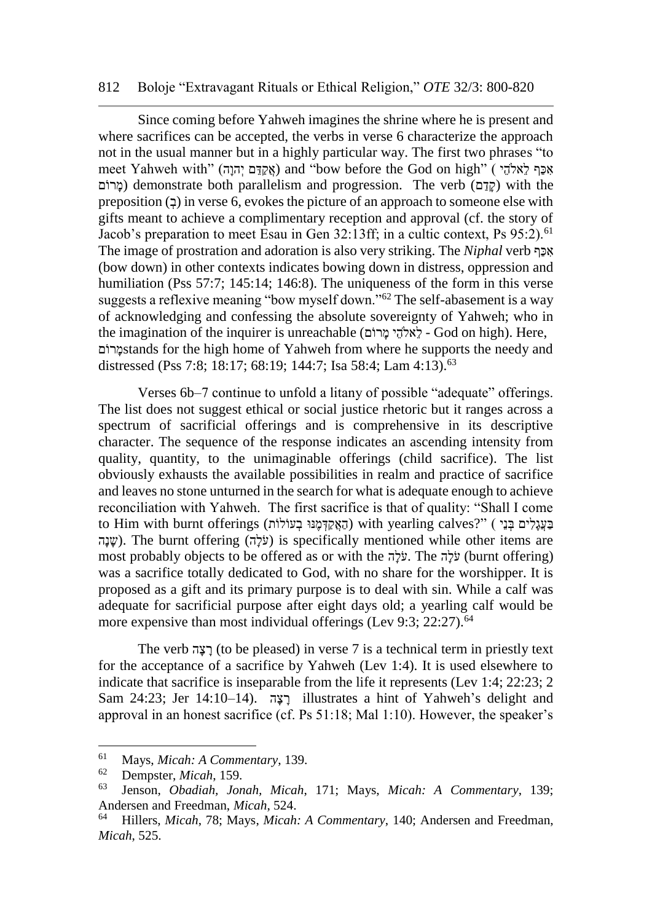#### 812 Boloje "Extravagant Rituals or Ethical Religion," *OTE* 32/3: 800-820

Since coming before Yahweh imagines the shrine where he is present and where sacrifices can be accepted, the verbs in verse 6 characterize the approach not in the usual manner but in a highly particular way. The first two phrases "to אָכַּף לֵאלֹהֵי ) "meet Yahweh with (אֲקַדֶּם יְהוָה) and "bow before the God on high מרוֹם) demonstrate both parallelism and progression. The verb (מרוֹם) with the preposition  $(2)$  in verse 6, evokes the picture of an approach to someone else with gifts meant to achieve a complimentary reception and approval (cf. the story of Jacob's preparation to meet Esau in Gen  $32:13$ ff; in a cultic context, Ps  $95:2$ ).<sup>61</sup> The image of prostration and adoration is also very striking. The *Niphal* verb אָכָּף (bow down) in other contexts indicates bowing down in distress, oppression and humiliation (Pss 57:7; 145:14; 146:8). The uniqueness of the form in this verse suggests a reflexive meaning "bow myself down."<sup>62</sup> The self-abasement is a way of acknowledging and confessing the absolute sovereignty of Yahweh; who in the imagination of the inquirer is unreachable (אֲלהִי מַרוֹם - God on high). Here, ם רו ָּמstands for the high home of Yahweh from where he supports the needy and distressed (Pss 7:8; 18:17; 68:19; 144:7; Isa 58:4; Lam 4:13).<sup>63</sup>

Verses 6b–7 continue to unfold a litany of possible "adequate" offerings. The list does not suggest ethical or social justice rhetoric but it ranges across a spectrum of sacrificial offerings and is comprehensive in its descriptive character. The sequence of the response indicates an ascending intensity from quality, quantity, to the unimaginable offerings (child sacrifice). The list obviously exhausts the available possibilities in realm and practice of sacrifice and leaves no stone unturned in the search for what is adequate enough to achieve reconciliation with Yahweh. The first sacrifice is that of quality: "Shall I come בַעֲגָלִים בְּנֵי ) "?with yearling calves (הַאֲקַמְּנֵּוּ בְעוֹלוֹת) with yearling calves שנה). The burnt offering (עֲלֹה) is specifically mentioned while other items are most probably objects to be offered as or with the לֵלה. The הֵילה (burnt offering) was a sacrifice totally dedicated to God, with no share for the worshipper. It is proposed as a gift and its primary purpose is to deal with sin. While a calf was adequate for sacrificial purpose after eight days old; a yearling calf would be more expensive than most individual offerings (Lev 9:3; 22:27).<sup>64</sup>

The verb הָּצ ָּר) to be pleased) in verse 7 is a technical term in priestly text for the acceptance of a sacrifice by Yahweh (Lev 1:4). It is used elsewhere to indicate that sacrifice is inseparable from the life it represents (Lev 1:4; 22:23; 2 Sam 24:23; Jer 14:10-14). רצה illustrates a hint of Yahweh's delight and approval in an honest sacrifice (cf. Ps 51:18; Mal 1:10). However, the speaker's

<sup>61</sup> Mays, *Micah: A Commentary*, 139.

<sup>62</sup> Dempster, *Micah*, 159.

<sup>63</sup> Jenson, *Obadiah, Jonah, Micah*, 171; Mays, *Micah: A Commentary*, 139; Andersen and Freedman, *Micah*, 524.

<sup>64</sup> Hillers, *Micah*, 78; Mays, *Micah: A Commentary*, 140; Andersen and Freedman, *Micah*, 525.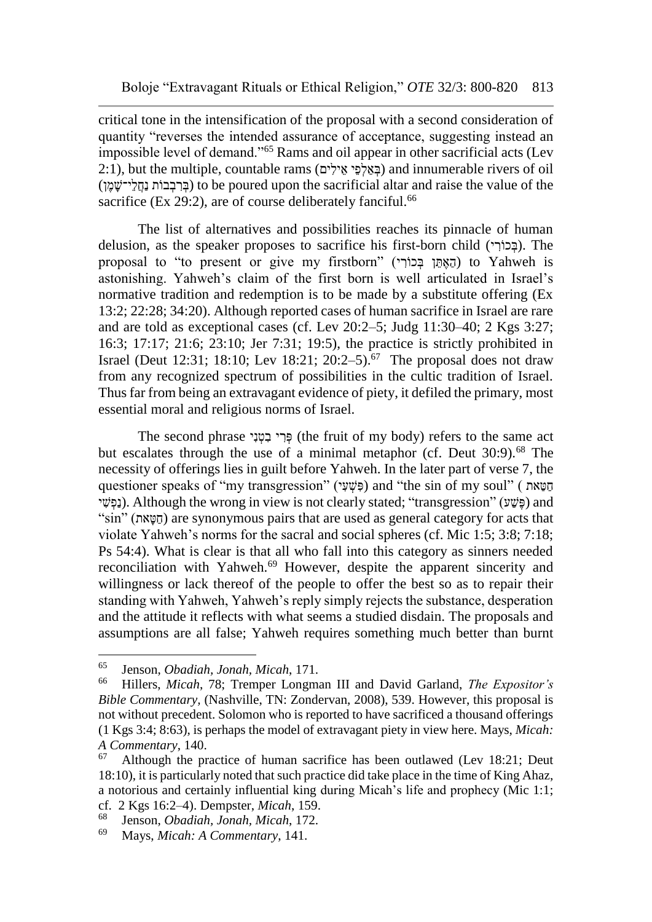critical tone in the intensification of the proposal with a second consideration of quantity "reverses the intended assurance of acceptance, suggesting instead an impossible level of demand."<sup>65</sup> Rams and oil appear in other sacrificial acts (Lev  $(2:1)$ , but the multiple, countable rams (בַּאֲלֹפֵי אֱילִים) and innumerable rivers of oil (בְּרַבְבוֹת נַחֲלִי־שַׁמֵן) to be poured upon the sacrificial altar and raise the value of the sacrifice (Ex 29:2), are of course deliberately fanciful.<sup>66</sup>

The list of alternatives and possibilities reaches its pinnacle of human delusion, as the speaker proposes to sacrifice his first-born child (בְּכוֹרִי). The proposal to "to present or give my firstborn" (הַאֶתֵּן בְּכוֹרִי) to Yahweh is astonishing. Yahweh's claim of the first born is well articulated in Israel's normative tradition and redemption is to be made by a substitute offering (Ex 13:2; 22:28; 34:20). Although reported cases of human sacrifice in Israel are rare and are told as exceptional cases (cf. Lev 20:2–5; Judg 11:30–40; 2 Kgs 3:27; 16:3; 17:17; 21:6; 23:10; Jer 7:31; 19:5), the practice is strictly prohibited in Israel (Deut 12:31; 18:10; Lev 18:21; 20:2-5).<sup>67</sup> The proposal does not draw from any recognized spectrum of possibilities in the cultic tradition of Israel. Thus far from being an extravagant evidence of piety, it defiled the primary, most essential moral and religious norms of Israel.

The second phrase פְּרִי בִמְנִי (the fruit of my body) refers to the same act but escalates through the use of a minimal metaphor (cf. Deut  $30:9$ ).<sup>68</sup> The necessity of offerings lies in guilt before Yahweh. In the later part of verse 7, the questioner speaks of "my transgression" (פְּשָׁעָי) and "the sin of my soul" ( הַטֵּאת ַ י (בַּפָּשִׁי). Although the wrong in view is not clearly stated; "transgression" (עַפָּשִׁי) and "sin" (הַטֵּאת) are synonymous pairs that are used as general category for acts that violate Yahweh's norms for the sacral and social spheres (cf. Mic 1:5; 3:8; 7:18; Ps 54:4). What is clear is that all who fall into this category as sinners needed reconciliation with Yahweh.<sup>69</sup> However, despite the apparent sincerity and willingness or lack thereof of the people to offer the best so as to repair their standing with Yahweh, Yahweh's reply simply rejects the substance, desperation and the attitude it reflects with what seems a studied disdain. The proposals and assumptions are all false; Yahweh requires something much better than burnt

<sup>65</sup> <sup>65</sup> Jenson, *Obadiah, Jonah, Micah*, 171.

<sup>66</sup> Hillers, *Micah*, 78; Tremper Longman III and David Garland, *The Expositor's Bible Commentary,* (Nashville, TN: Zondervan, 2008), 539. However, this proposal is not without precedent. Solomon who is reported to have sacrificed a thousand offerings (1 Kgs 3:4; 8:63), is perhaps the model of extravagant piety in view here. Mays, *Micah: A Commentary*, 140.

 $67$  Although the practice of human sacrifice has been outlawed (Lev 18:21; Deut 18:10), it is particularly noted that such practice did take place in the time of King Ahaz, a notorious and certainly influential king during Micah's life and prophecy (Mic 1:1; cf. 2 Kgs 16:2–4). Dempster, *Micah*, 159.

<sup>68</sup> Jenson, *Obadiah, Jonah, Micah*, 172.

<sup>69</sup> Mays, *Micah: A Commentary*, 141.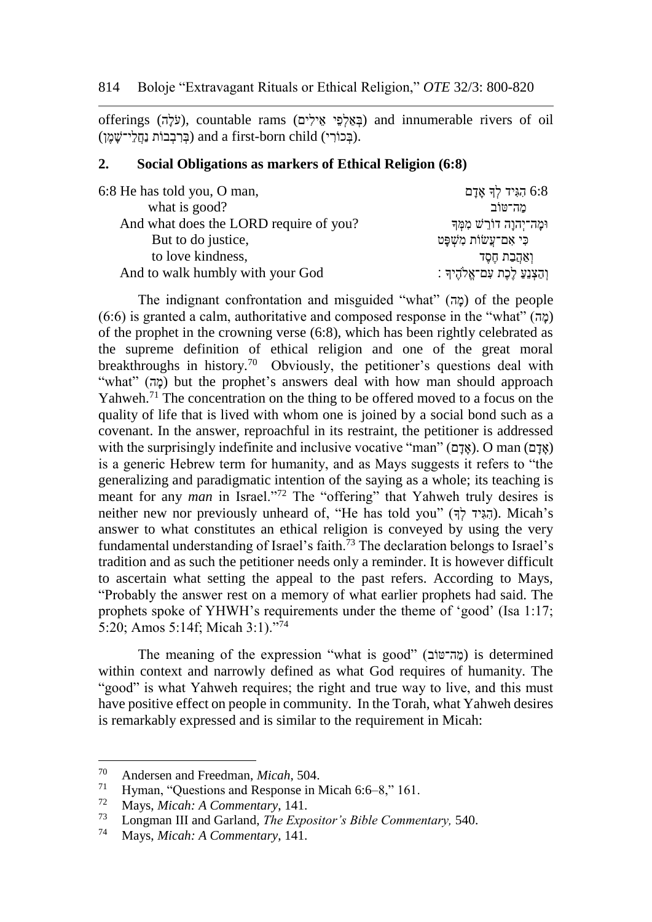offerings (בֹּאֲלְפֵּי אֵילִים) and innumerable rivers of oil (בְּאֲלְפֵּי אֵילִים) (בְּרִבְבוֹת נַחֲלֵי־שֶׁמֵן) and a first-born child (בְּרִבְבוֹת נַחֲלֵי־שֶׁמֵן).

#### **2. Social Obligations as markers of Ethical Religion (6:8)**

| 6:8 He has told you, O man,            | הגִּיד לִךְ אָדָם $6.8$          |
|----------------------------------------|----------------------------------|
| what is good?                          | מה־טוֹב                          |
| And what does the LORD require of you? | וּמָה־יִהוַה דוֹרֵשׁ מִמְּךָ     |
| But to do justice,                     | כִּי אָם־עֲשׂוֹת מְשָׁפָּט       |
| to love kindness,                      | ואַהַבַת חֶסֶד                   |
| And to walk humbly with your God       | וְהַצְנֵעַ לֵכֶת עִם־אֱלֹהֶיךָ : |

The indignant confrontation and misguided "what" (מֲה) of the people  $(6:6)$  is granted a calm, authoritative and composed response in the "what" (מַה) of the prophet in the crowning verse (6:8), which has been rightly celebrated as the supreme definition of ethical religion and one of the great moral breakthroughs in history.<sup>70</sup> Obviously, the petitioner's questions deal with "what" (מָה) but the prophet's answers deal with how man should approach Yahweh.<sup>71</sup> The concentration on the thing to be offered moved to a focus on the quality of life that is lived with whom one is joined by a social bond such as a covenant. In the answer, reproachful in its restraint, the petitioner is addressed with the surprisingly indefinite and inclusive vocative "man" (אֲדָם). O man (אָדָם) is a generic Hebrew term for humanity, and as Mays suggests it refers to "the generalizing and paradigmatic intention of the saying as a whole; its teaching is meant for any *man* in Israel."<sup>72</sup> The "offering" that Yahweh truly desires is neither new nor previously unheard of, "He has told you" (הְגִיד  $\frac{1}{2}$ ). Micah's answer to what constitutes an ethical religion is conveyed by using the very fundamental understanding of Israel's faith.<sup>73</sup> The declaration belongs to Israel's tradition and as such the petitioner needs only a reminder. It is however difficult to ascertain what setting the appeal to the past refers. According to Mays, "Probably the answer rest on a memory of what earlier prophets had said. The prophets spoke of YHWH's requirements under the theme of 'good' (Isa 1:17; 5:20; Amos 5:14f; Micah 3:1)."<sup>74</sup>

The meaning of the expression "what is good" (מֲה־טוֹב) is determined within context and narrowly defined as what God requires of humanity. The "good" is what Yahweh requires; the right and true way to live, and this must have positive effect on people in community. In the Torah, what Yahweh desires is remarkably expressed and is similar to the requirement in Micah:

<sup>70</sup> <sup>70</sup> Andersen and Freedman, *Micah*, 504.

<sup>&</sup>lt;sup>71</sup> Hyman, "Questions and Response in Micah 6:6–8," 161.<br><sup>72</sup> Mays Misalu 4 Commentant 141

<sup>72</sup> Mays, *Micah: A Commentary*, 141.

<sup>73</sup> Longman III and Garland, *The Expositor's Bible Commentary,* 540.

<sup>74</sup> Mays, *Micah: A Commentary*, 141.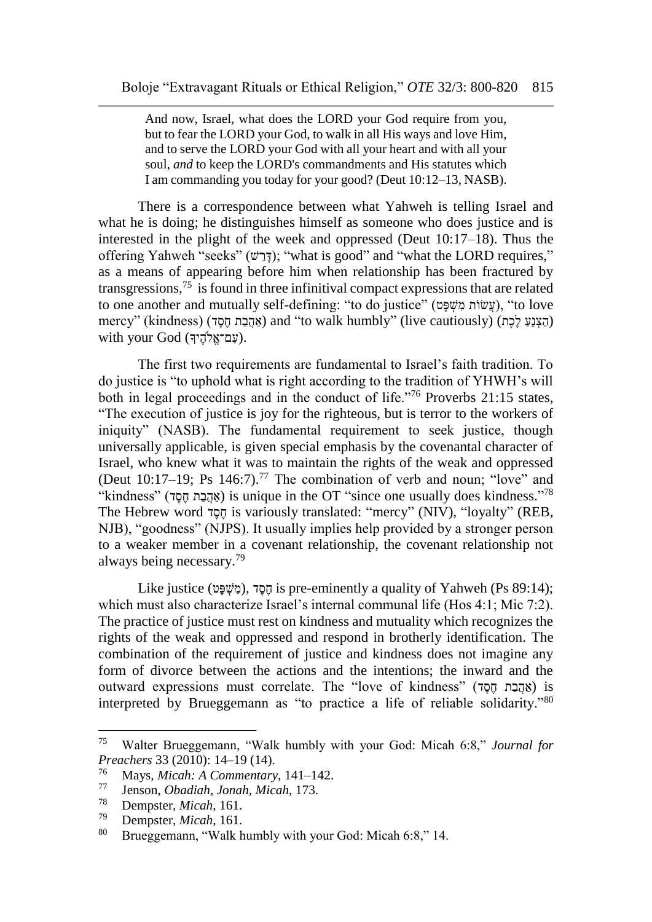And now, Israel, what does the LORD your God require from you, but to fear the LORD your God, to walk in all His ways and love Him, and to serve the LORD your God with all your heart and with all your soul, *and* to keep the LORD's commandments and His statutes which I am commanding you today for your good? (Deut 10:12–13, NASB).

There is a correspondence between what Yahweh is telling Israel and what he is doing; he distinguishes himself as some one who does justice and is interested in the plight of the week and oppressed (Deut 10:17–18). Thus the offering Yahweh "seeks" (דְּרָשׁ); "what is good" and "what the LORD requires," as a means of appearing before him when relationship has been fractured by transgressions,<sup>75</sup> is found in three infinitival compact expressions that are related to one another and mutually self-defining: "to do justice" (עֲשׂוֹת מְשָׁפַּט), "to love mercy" (kindness) (אֲהָבַת חֶסֶד) and "to walk humbly" (live cautiously) (הַצְנֵעַ לֶכֶת) with your God (עָם־אֱלֹהֶיךָ).

The first two requirements are fundamental to Israel's faith tradition. To do justice is "to uphold what is right according to the tradition of YHWH's will both in legal proceedings and in the conduct of life."<sup>76</sup> Proverbs 21:15 states, "The execution of justice is joy for the righteous, but is terror to the workers of iniquity" (NASB). The fundamental requirement to seek justice, though universally applicable, is given special emphasis by the covenantal character of Israel, who knew what it was to maintain the rights of the weak and oppressed (Deut 10:17-19; Ps 146:7).<sup>77</sup> The combination of verb and noun; "love" and "kindness" (אֲהֲבָת חֶסֶד) is unique in the OT "since one usually does kindness." The Hebrew word  $\overline{1}$  is variously translated: "mercy" (NIV), "loyalty" (REB, NJB), "goodness" (NJPS). It usually implies help provided by a stronger person to a weaker member in a covenant relationship, the covenant relationship not always being necessary.<sup>79</sup>

Like justice (מָשׁפּט), דְּסֶה is pre-eminently a quality of Yahweh (Ps 89:14); which must also characterize Israel's internal communal life (Hos 4:1; Mic 7:2). The practice of justice must rest on kindness and mutuality which recognizes the rights of the weak and oppressed and respond in brotherly identification. The combination of the requirement of justice and kindness does not imagine any form of divorce between the actions and the intentions; the inward and the outward expressions must correlate. The "love of kindness" (אֲהֲבָת חֵםָד) is interpreted by Brueggemann as "to practice a life of reliable solidarity."<sup>80</sup>

<sup>75</sup> Walter Brueggemann, "Walk humbly with your God: Micah 6:8," *Journal for Preachers* 33 (2010): 14–19 (14).<br><sup>76</sup> Mays Missh: A Commantant

<sup>76</sup> Mays, *Micah: A Commentary*, 141–142.

<sup>77</sup> Jenson, *Obadiah, Jonah, Micah*, 173.

<sup>78</sup> Dempster, *Micah*, 161.

<sup>79</sup> Dempster, *Micah*, 161.

Brueggemann, "Walk humbly with your God: Micah 6:8," 14.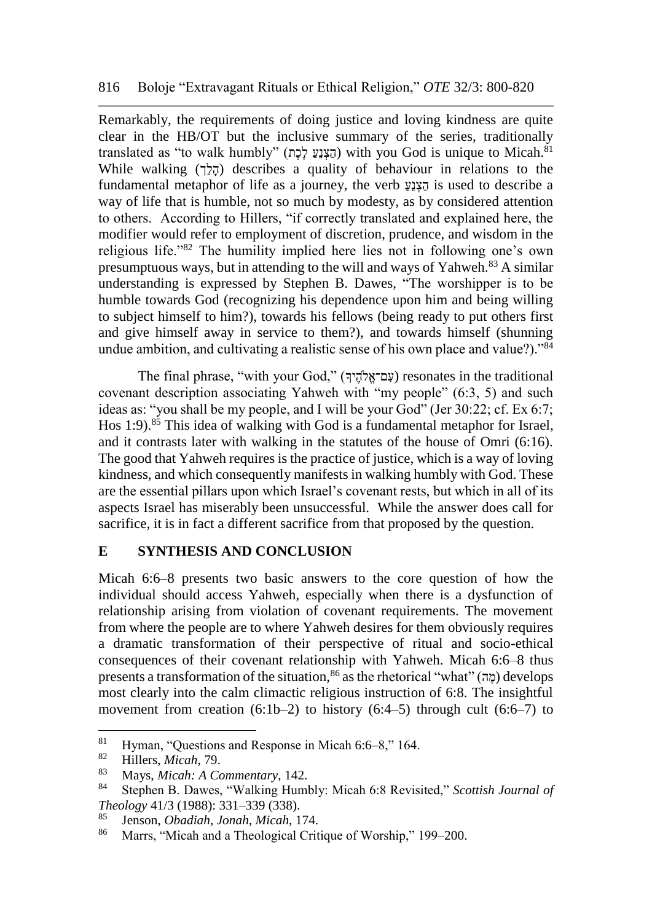Remarkably, the requirements of doing justice and loving kindness are quite clear in the HB/OT but the inclusive summary of the series, traditionally translated as "to walk humbly" (הַצְנֵעַ לֵכָת) with you God is unique to Micah.<sup>81</sup> While walking (הלך) describes a quality of behaviour in relations to the fundamental metaphor of life as a journey, the verb  $\frac{1}{2}$  is used to describe a way of life that is humble, not so much by modesty, as by considered attention to others. According to Hillers, "if correctly translated and explained here, the modifier would refer to employment of discretion, prudence, and wisdom in the religious life."<sup>82</sup> The humility implied here lies not in following one's own presumptuous ways, but in attending to the will and ways of Yahweh.<sup>83</sup> A similar understanding is expressed by Stephen B. Dawes, "The worshipper is to be humble towards God (recognizing his dependence upon him and being willing to subject himself to him?), towards his fellows (being ready to put others first and give himself away in service to them?), and towards himself (shunning undue ambition, and cultivating a realistic sense of his own place and value?)."<sup>84</sup>

The final phrase, "with your God," (ךָיֶלהֱֺם־א ִע (resonates in the traditional covenant description associating Yahweh with "my people" (6:3, 5) and such ideas as: "you shall be my people, and I will be your God" (Jer 30:22; cf. Ex 6:7; Hos 1:9).<sup>85</sup> This idea of walking with God is a fundamental metaphor for Israel, and it contrasts later with walking in the statutes of the house of Omri (6:16). The good that Yahweh requires is the practice of justice, which is a way of loving kindness, and which consequently manifests in walking humbly with God. These are the essential pillars upon which Israel's covenant rests, but which in all of its aspects Israel has miserably been unsuccessful. While the answer does call for sacrifice, it is in fact a different sacrifice from that proposed by the question.

### **E SYNTHESIS AND CONCLUSION**

Micah 6:6–8 presents two basic answers to the core question of how the individual should access Yahweh, especially when there is a dysfunction of relationship arising from violation of covenant requirements. The movement from where the people are to where Yahweh desires for them obviously requires a dramatic transformation of their perspective of ritual and socio-ethical consequences of their covenant relationship with Yahweh. Micah 6:6–8 thus presents a transformation of the situation,<sup>86</sup> as the rhetorical "what" (מָה) develops most clearly into the calm climactic religious instruction of 6:8. The insightful movement from creation  $(6:1b-2)$  to history  $(6:4-5)$  through cult  $(6:6-7)$  to

<sup>&</sup>lt;sup>81</sup> Hyman, "Questions and Response in Micah 6:6–8," 164.<br><sup>82</sup> Hillers *Micah* 70

<sup>82</sup> Hillers, *Micah*, 79.

<sup>83</sup> Mays, *Micah: A Commentary*, 142.

<sup>84</sup> Stephen B. Dawes, "Walking Humbly: Micah 6:8 Revisited," *Scottish Journal of Theology* 41/3 (1988): 331–339 (338).

<sup>85</sup> Jenson, *Obadiah, Jonah, Micah*, 174.

<sup>86</sup> Marrs, "Micah and a Theological Critique of Worship," 199–200.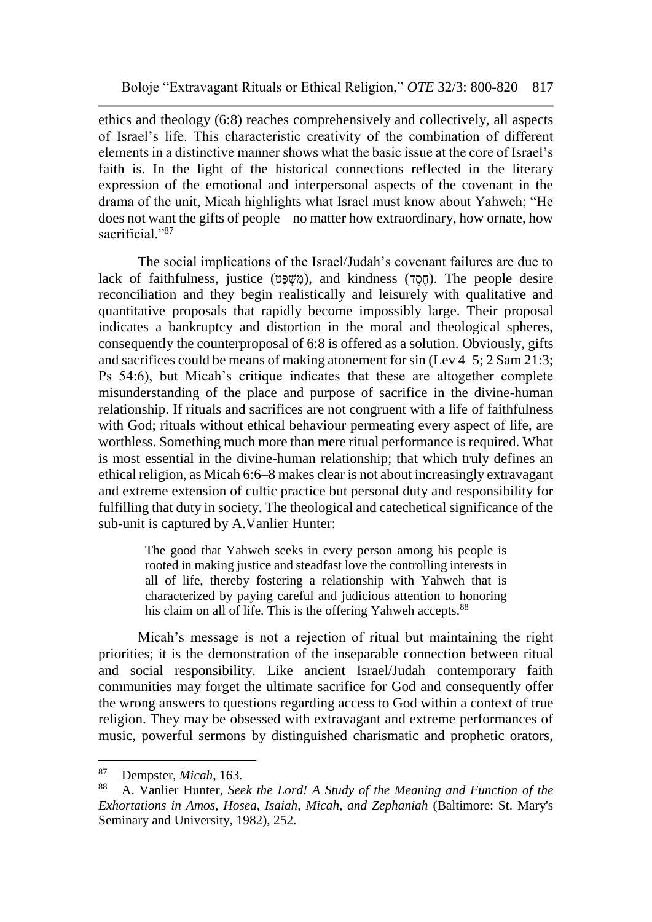ethics and theology (6:8) reaches comprehensively and collectively, all aspects of Israel's life. This characteristic creativity of the combination of different elements in a distinctive manner shows what the basic issue at the core of Israel's faith is. In the light of the historical connections reflected in the literary expression of the emotional and interpersonal aspects of the covenant in the drama of the unit, Micah highlights what Israel must know about Yahweh; "He does not want the gifts of people – no matter how extraordinary, how ornate, how sacrificial."87

The social implications of the Israel/Judah's covenant failures are due to lack of faithfulness, justice (מָשָׁפַּט), and kindness (קָמָה). The people desire reconciliation and they begin realistically and leisurely with qualitative and quantitative proposals that rapidly become impossibly large. Their proposal indicates a bankruptcy and distortion in the moral and theological spheres, consequently the counterproposal of 6:8 is offered as a solution. Obviously, gifts and sacrifices could be means of making atonement for sin (Lev 4–5; 2 Sam 21:3; Ps 54:6), but Micah's critique indicates that these are altogether complete misunderstanding of the place and purpose of sacrifice in the divine-human relationship. If rituals and sacrifices are not congruent with a life of faithfulness with God; rituals without ethical behaviour permeating every aspect of life, are worthless. Something much more than mere ritual performance is required. What is most essential in the divine-human relationship; that which truly defines an ethical religion, as Micah 6:6–8 makes clear is not about increasingly extravagant and extreme extension of cultic practice but personal duty and responsibility for fulfilling that duty in society. The theological and catechetical significance of the sub-unit is captured by A.Vanlier Hunter:

> The good that Yahweh seeks in every person among his people is rooted in making justice and steadfast love the controlling interests in all of life, thereby fostering a relationship with Yahweh that is characterized by paying careful and judicious attention to honoring his claim on all of life. This is the offering Yahweh accepts.<sup>88</sup>

Micah's message is not a rejection of ritual but maintaining the right priorities; it is the demonstration of the inseparable connection between ritual and social responsibility. Like ancient Israel/Judah contemporary faith communities may forget the ultimate sacrifice for God and consequently offer the wrong answers to questions regarding access to God within a context of true religion. They may be obsessed with extravagant and extreme performances of music, powerful sermons by distinguished charismatic and prophetic orators,

<sup>87</sup> <sup>87</sup> Dempster, *Micah*, 163.

<sup>88</sup> A. Vanlier Hunter, *Seek the Lord! A Study of the Meaning and Function of the Exhortations in Amos, Hosea, Isaiah, Micah, and Zephaniah* (Baltimore: St. Mary's Seminary and University, 1982), 252.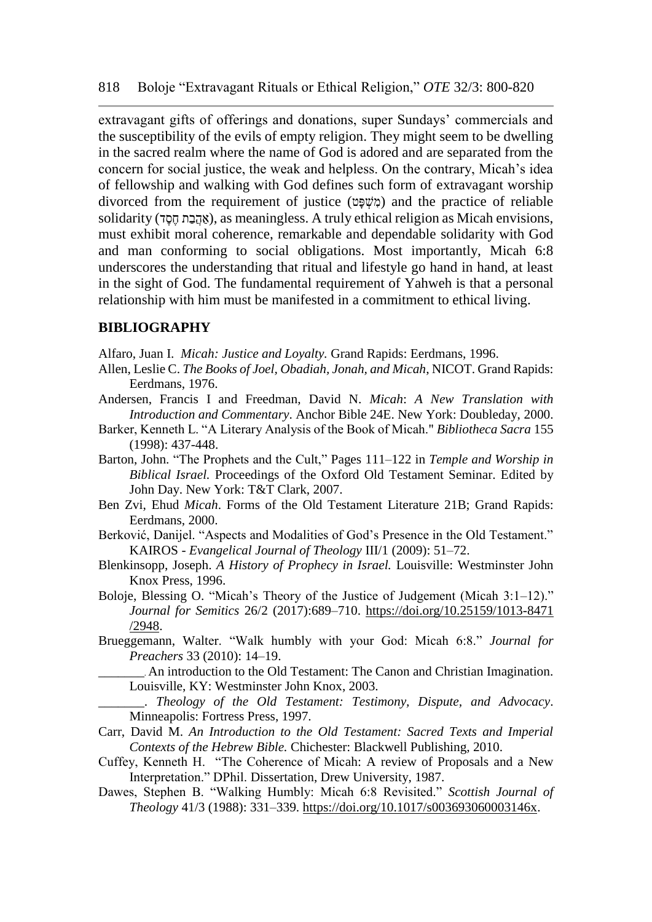extravagant gifts of offerings and donations, super Sundays' commercials and the susceptibility of the evils of empty religion. They might seem to be dwelling in the sacred realm where the name of God is adored and are separated from the concern for social justice, the weak and helpless. On the contrary, Micah's idea of fellowship and walking with God defines such form of extravagant worship divorced from the requirement of justice (מָשׁפּט) and the practice of reliable solidarity (אֲהָבָת חֵסָד), as meaningless. A truly ethical religion as Micah envisions, must exhibit moral coherence, remarkable and dependable solidarity with God and man conforming to social obligations. Most importantly, Micah 6:8 underscores the understanding that ritual and lifestyle go hand in hand, at least in the sight of God. The fundamental requirement of Yahweh is that a personal relationship with him must be manifested in a commitment to ethical living.

#### **BIBLIOGRAPHY**

- Alfaro, Juan I. *Micah: Justice and Loyalty.* Grand Rapids: Eerdmans, 1996.
- Allen, Leslie C. *The Books of Joel, Obadiah, Jonah, and Micah*, NICOT. Grand Rapids: Eerdmans, 1976.
- Andersen, Francis I and Freedman, David N. *Micah*: *A New Translation with Introduction and Commentary*. Anchor Bible 24E. New York: Doubleday, 2000.
- Barker, Kenneth L. "A Literary Analysis of the Book of Micah." *Bibliotheca Sacra* 155 (1998): 437-448.
- Barton, John. "The Prophets and the Cult," Pages 111–122 in *Temple and Worship in Biblical Israel.* Proceedings of the Oxford Old Testament Seminar. Edited by John Day. New York: T&T Clark, 2007.
- Ben Zvi, Ehud *Micah*. Forms of the Old Testament Literature 21B; Grand Rapids: Eerdmans, 2000.
- Berković, Danijel. "Aspects and Modalities of God's Presence in the Old Testament." KAIROS - *Evangelical Journal of Theology* III/1 (2009): 51–72.
- Blenkinsopp, Joseph. *A History of Prophecy in Israel.* Louisville: Westminster John Knox Press, 1996.
- Boloje, Blessing O. "Micah's Theory of the Justice of Judgement (Micah 3:1–12)." *Journal for Semitics* 26/2 (2017):689–710. [https://doi.org/10.25159/1013-8471](https://doi.org/10.25159/1013-8471%20/2948)  [/2948.](https://doi.org/10.25159/1013-8471%20/2948)
- Brueggemann, Walter. "Walk humbly with your God: Micah 6:8." *Journal for Preachers* 33 (2010): 14–19.
	- \_\_\_\_\_\_\_. An introduction to the Old Testament: The Canon and Christian Imagination. Louisville, KY: Westminster John Knox, 2003.
	- \_\_\_\_\_\_\_. *Theology of the Old Testament: Testimony, Dispute, and Advocacy*. Minneapolis: Fortress Press, 1997.
- Carr, David M. *An Introduction to the Old Testament: Sacred Texts and Imperial Contexts of the Hebrew Bible.* Chichester: Blackwell Publishing, 2010.
- Cuffey, Kenneth H. "The Coherence of Micah: A review of Proposals and a New Interpretation." DPhil. Dissertation, Drew University, 1987.
- Dawes, Stephen B. "Walking Humbly: Micah 6:8 Revisited." *Scottish Journal of Theology* 41/3 (1988): 331–339. [https://doi.org/10.1017/s003693060003146x.](https://doi.org/10.1017/s003693060003146x)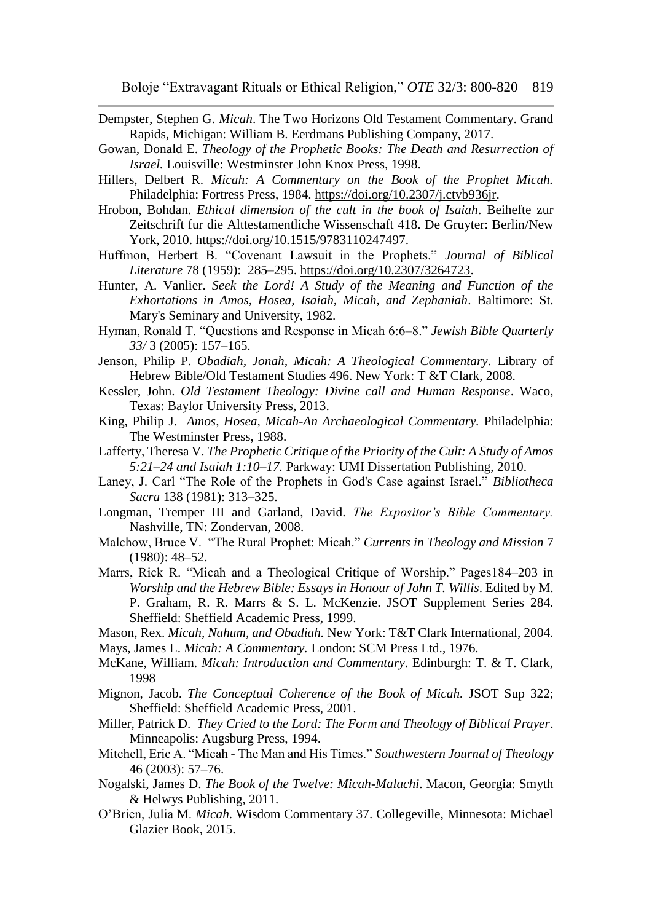- Dempster, Stephen G. *Micah*. The Two Horizons Old Testament Commentary. Grand Rapids, Michigan: William B. Eerdmans Publishing Company, 2017.
- Gowan, Donald E. *Theology of the Prophetic Books: The Death and Resurrection of Israel.* Louisville: Westminster John Knox Press, 1998.
- Hillers, Delbert R. *Micah: A Commentary on the Book of the Prophet Micah.*  Philadelphia: Fortress Press, 1984. [https://doi.org/10.2307/j.ctvb936jr.](https://doi.org/10.2307/j.ctvb936jr)
- Hrobon, Bohdan. *Ethical dimension of the cult in the book of Isaiah*. Beihefte zur Zeitschrift fur die Alttestamentliche Wissenschaft 418. De Gruyter: Berlin/New York, 2010. [https://doi.org/10.1515/9783110247497.](https://doi.org/10.1515/9783110247497)
- Huffmon, Herbert B. "Covenant Lawsuit in the Prophets." *Journal of Biblical Literature* 78 (1959): 285–295. [https://doi.org/10.2307/3264723.](https://doi.org/10.2307/3264723)
- Hunter, A. Vanlier. *Seek the Lord! A Study of the Meaning and Function of the Exhortations in Amos, Hosea, Isaiah, Micah, and Zephaniah*. Baltimore: St. Mary's Seminary and University, 1982.
- Hyman, Ronald T. "Questions and Response in Micah 6:6–8." *Jewish Bible Quarterly 33/* 3 (2005): 157–165.
- Jenson, Philip P. *Obadiah, Jonah, Micah: A Theological Commentary*. Library of Hebrew Bible/Old Testament Studies 496. New York: T &T Clark, 2008.
- Kessler, John. *Old Testament Theology: Divine call and Human Response*. Waco, Texas: Baylor University Press, 2013.
- King, Philip J. *Amos, Hosea, Micah-An Archaeological Commentary.* Philadelphia: The Westminster Press, 1988.
- Lafferty, Theresa V. *The Prophetic Critique of the Priority of the Cult: A Study of Amos 5:21–24 and Isaiah 1:10–17.* Parkway: UMI Dissertation Publishing, 2010.
- Laney, J. Carl "The Role of the Prophets in God's Case against Israel." *Bibliotheca Sacra* 138 (1981): 313–325.
- Longman, Tremper III and Garland, David. *The Expositor's Bible Commentary.*  Nashville, TN: Zondervan, 2008.
- Malchow, Bruce V. "The Rural Prophet: Micah." *Currents in Theology and Mission* 7 (1980): 48–52.
- Marrs, Rick R. "Micah and a Theological Critique of Worship." Pages184–203 in *Worship and the Hebrew Bible: Essays in Honour of John T. Willis*. Edited by M. P. Graham, R. R. Marrs & S. L. McKenzie. JSOT Supplement Series 284. Sheffield: Sheffield Academic Press, 1999.
- Mason, Rex. *Micah, Nahum, and Obadiah.* New York: T&T Clark International, 2004. Mays, James L. *Micah: A Commentary.* London: SCM Press Ltd., 1976.
- McKane, William. *Micah: Introduction and Commentary*. Edinburgh: T. & T. Clark, 1998
- Mignon, Jacob. *The Conceptual Coherence of the Book of Micah.* JSOT Sup 322; Sheffield: Sheffield Academic Press, 2001.
- Miller, Patrick D. *They Cried to the Lord: The Form and Theology of Biblical Prayer*. Minneapolis: Augsburg Press, 1994.
- Mitchell, Eric A. "Micah The Man and His Times." *Southwestern Journal of Theology*  46 (2003): 57–76.
- Nogalski, James D. *The Book of the Twelve: Micah-Malachi*. Macon, Georgia: Smyth & Helwys Publishing, 2011.
- O'Brien, Julia M. *Micah*. Wisdom Commentary 37. Collegeville, Minnesota: Michael Glazier Book, 2015.